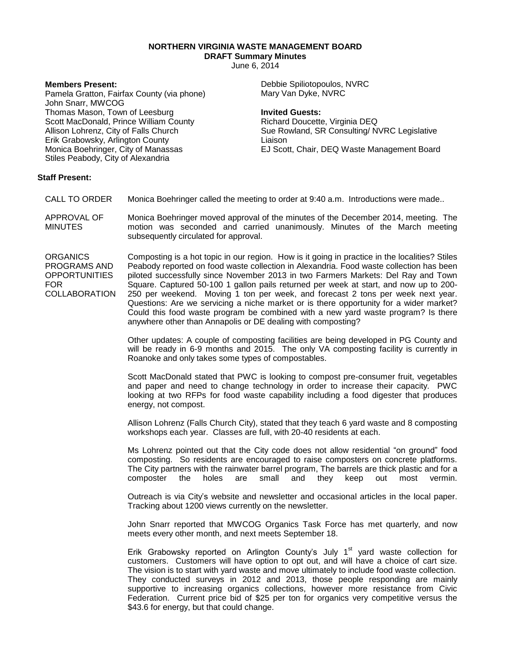**NORTHERN VIRGINIA WASTE MANAGEMENT BOARD**

**DRAFT Summary Minutes**

June 6, 2014

## **Members Present:**

Pamela Gratton, Fairfax County (via phone) John Snarr, MWCOG Thomas Mason, Town of Leesburg Scott MacDonald, Prince William County Allison Lohrenz, City of Falls Church Erik Grabowsky, Arlington County Monica Boehringer, City of Manassas Stiles Peabody, City of Alexandria

Debbie Spiliotopoulos, NVRC Mary Van Dyke, NVRC

## **Invited Guests:**

Richard Doucette, Virginia DEQ Sue Rowland, SR Consulting/ NVRC Legislative Liaison EJ Scott, Chair, DEQ Waste Management Board

## **Staff Present:**

- CALL TO ORDER Monica Boehringer called the meeting to order at 9:40 a.m. Introductions were made..
- APPROVAL OF **MINUTES** Monica Boehringer moved approval of the minutes of the December 2014, meeting. The motion was seconded and carried unanimously. Minutes of the March meeting subsequently circulated for approval.

**ORGANICS** PROGRAMS AND **OPPORTUNITIES** FOR **COLLABORATION** Composting is a hot topic in our region. How is it going in practice in the localities? Stiles Peabody reported on food waste collection in Alexandria. Food waste collection has been piloted successfully since November 2013 in two Farmers Markets: Del Ray and Town Square. Captured 50-100 1 gallon pails returned per week at start, and now up to 200- 250 per weekend. Moving 1 ton per week, and forecast 2 tons per week next year. Questions: Are we servicing a niche market or is there opportunity for a wider market? Could this food waste program be combined with a new yard waste program? Is there anywhere other than Annapolis or DE dealing with composting?

> Other updates: A couple of composting facilities are being developed in PG County and will be ready in 6-9 months and 2015. The only VA composting facility is currently in Roanoke and only takes some types of compostables.

> Scott MacDonald stated that PWC is looking to compost pre-consumer fruit, vegetables and paper and need to change technology in order to increase their capacity. PWC looking at two RFPs for food waste capability including a food digester that produces energy, not compost.

> Allison Lohrenz (Falls Church City), stated that they teach 6 yard waste and 8 composting workshops each year. Classes are full, with 20-40 residents at each.

> Ms Lohrenz pointed out that the City code does not allow residential "on ground" food composting. So residents are encouraged to raise composters on concrete platforms. The City partners with the rainwater barrel program, The barrels are thick plastic and for a composter the holes are small and they keep out most vermin.

> Outreach is via City's website and newsletter and occasional articles in the local paper. Tracking about 1200 views currently on the newsletter.

> John Snarr reported that MWCOG Organics Task Force has met quarterly, and now meets every other month, and next meets September 18.

> Erik Grabowsky reported on Arlington County's July  $1<sup>st</sup>$  yard waste collection for customers. Customers will have option to opt out, and will have a choice of cart size. The vision is to start with yard waste and move ultimately to include food waste collection. They conducted surveys in 2012 and 2013, those people responding are mainly supportive to increasing organics collections, however more resistance from Civic Federation. Current price bid of \$25 per ton for organics very competitive versus the \$43.6 for energy, but that could change.